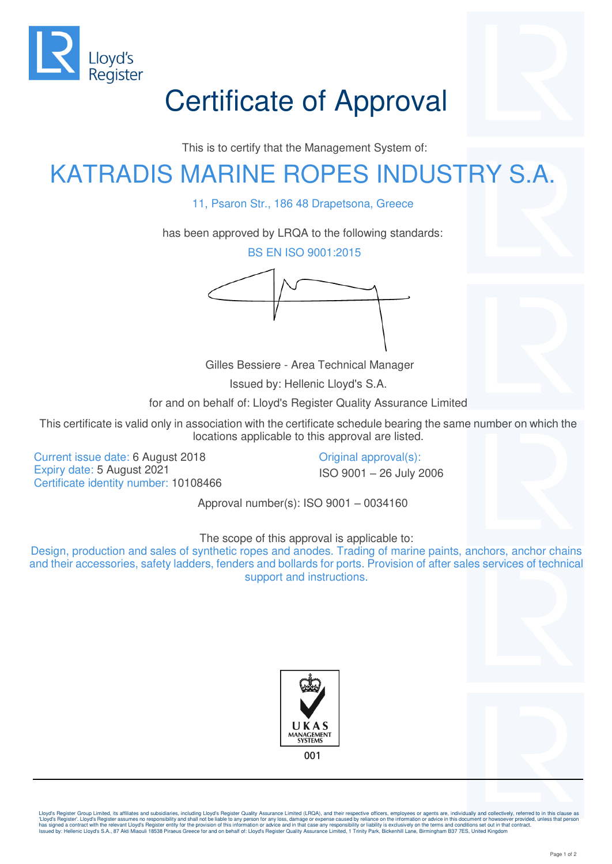

## Certificate of Approval

This is to certify that the Management System of:

## KATRADIS MARINE ROPES INDUSTRY S.A.

11, Psaron Str., 186 48 Drapetsona, Greece

has been approved by LRQA to the following standards:

BS EN ISO 9001:2015

Gilles Bessiere - Area Technical Manager

Issued by: Hellenic Lloyd's S.A.

for and on behalf of: Lloyd's Register Quality Assurance Limited

This certificate is valid only in association with the certificate schedule bearing the same number on which the locations applicable to this approval are listed.

Current issue date: 6 August 2018 Current issue date: 6 August 2018 Expiry date: 5 August 2021 **ISO 9001** – 26 July 2006 Certificate identity number: 10108466

Approval number(s): ISO 9001 – 0034160

The scope of this approval is applicable to:

Design, production and sales of synthetic ropes and anodes. Trading of marine paints, anchors, anchor chains and their accessories, safety ladders, fenders and bollards for ports. Provision of after sales services of technical support and instructions.





Lloyd's Register Group Limited, its affiliates and subsidiaries, including Lloyd's Register Quality Assurance Limited (LRQA), and their respective officers, employees or agents are, individually and collectively, referred